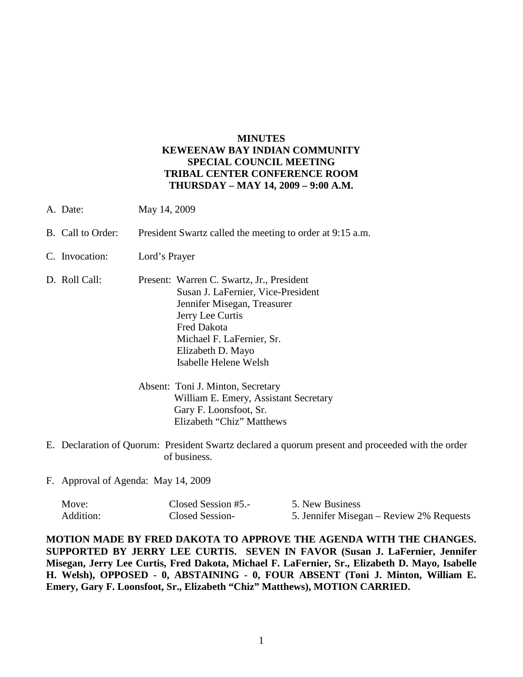## **MINUTES KEWEENAW BAY INDIAN COMMUNITY SPECIAL COUNCIL MEETING TRIBAL CENTER CONFERENCE ROOM THURSDAY – MAY 14, 2009 – 9:00 A.M.**

- A. Date: May 14, 2009
- B. Call to Order: President Swartz called the meeting to order at 9:15 a.m.
- C. Invocation: Lord's Prayer
- D. Roll Call: Present: Warren C. Swartz, Jr., President Susan J. LaFernier, Vice-President Jennifer Misegan, Treasurer Jerry Lee Curtis Fred Dakota Michael F. LaFernier, Sr. Elizabeth D. Mayo Isabelle Helene Welsh
	- Absent: Toni J. Minton, Secretary William E. Emery, Assistant Secretary Gary F. Loonsfoot, Sr. Elizabeth "Chiz" Matthews
- E. Declaration of Quorum: President Swartz declared a quorum present and proceeded with the order of business.
- F. Approval of Agenda: May 14, 2009

| Move:     | Closed Session #5.- | 5. New Business                          |
|-----------|---------------------|------------------------------------------|
| Addition: | Closed Session-     | 5. Jennifer Misegan – Review 2% Requests |

**MOTION MADE BY FRED DAKOTA TO APPROVE THE AGENDA WITH THE CHANGES. SUPPORTED BY JERRY LEE CURTIS. SEVEN IN FAVOR (Susan J. LaFernier, Jennifer Misegan, Jerry Lee Curtis, Fred Dakota, Michael F. LaFernier, Sr., Elizabeth D. Mayo, Isabelle H. Welsh), OPPOSED - 0, ABSTAINING - 0, FOUR ABSENT (Toni J. Minton, William E. Emery, Gary F. Loonsfoot, Sr., Elizabeth "Chiz" Matthews), MOTION CARRIED.**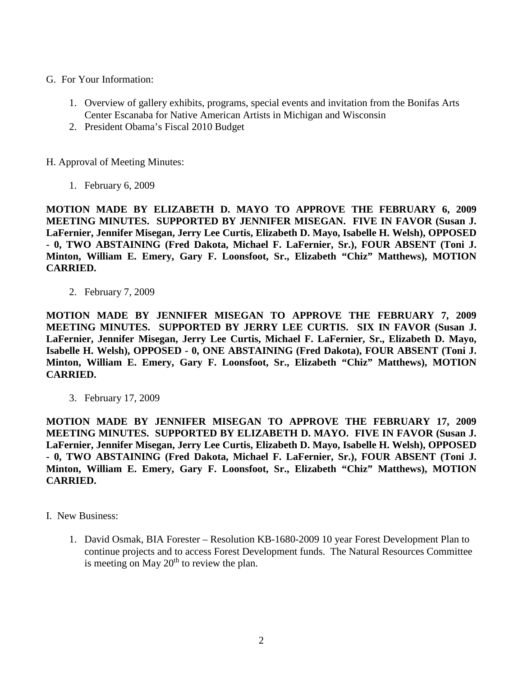- G. For Your Information:
	- 1. Overview of gallery exhibits, programs, special events and invitation from the Bonifas Arts Center Escanaba for Native American Artists in Michigan and Wisconsin
	- 2. President Obama's Fiscal 2010 Budget

H. Approval of Meeting Minutes:

1. February 6, 2009

**MOTION MADE BY ELIZABETH D. MAYO TO APPROVE THE FEBRUARY 6, 2009 MEETING MINUTES. SUPPORTED BY JENNIFER MISEGAN. FIVE IN FAVOR (Susan J. LaFernier, Jennifer Misegan, Jerry Lee Curtis, Elizabeth D. Mayo, Isabelle H. Welsh), OPPOSED - 0, TWO ABSTAINING (Fred Dakota, Michael F. LaFernier, Sr.), FOUR ABSENT (Toni J. Minton, William E. Emery, Gary F. Loonsfoot, Sr., Elizabeth "Chiz" Matthews), MOTION CARRIED.**

2. February 7, 2009

**MOTION MADE BY JENNIFER MISEGAN TO APPROVE THE FEBRUARY 7, 2009 MEETING MINUTES. SUPPORTED BY JERRY LEE CURTIS. SIX IN FAVOR (Susan J. LaFernier, Jennifer Misegan, Jerry Lee Curtis, Michael F. LaFernier, Sr., Elizabeth D. Mayo, Isabelle H. Welsh), OPPOSED - 0, ONE ABSTAINING (Fred Dakota), FOUR ABSENT (Toni J. Minton, William E. Emery, Gary F. Loonsfoot, Sr., Elizabeth "Chiz" Matthews), MOTION CARRIED.**

3. February 17, 2009

**MOTION MADE BY JENNIFER MISEGAN TO APPROVE THE FEBRUARY 17, 2009 MEETING MINUTES. SUPPORTED BY ELIZABETH D. MAYO. FIVE IN FAVOR (Susan J. LaFernier, Jennifer Misegan, Jerry Lee Curtis, Elizabeth D. Mayo, Isabelle H. Welsh), OPPOSED - 0, TWO ABSTAINING (Fred Dakota, Michael F. LaFernier, Sr.), FOUR ABSENT (Toni J. Minton, William E. Emery, Gary F. Loonsfoot, Sr., Elizabeth "Chiz" Matthews), MOTION CARRIED.**

- I. New Business:
	- 1. David Osmak, BIA Forester Resolution KB-1680-2009 10 year Forest Development Plan to continue projects and to access Forest Development funds. The Natural Resources Committee is meeting on May  $20<sup>th</sup>$  to review the plan.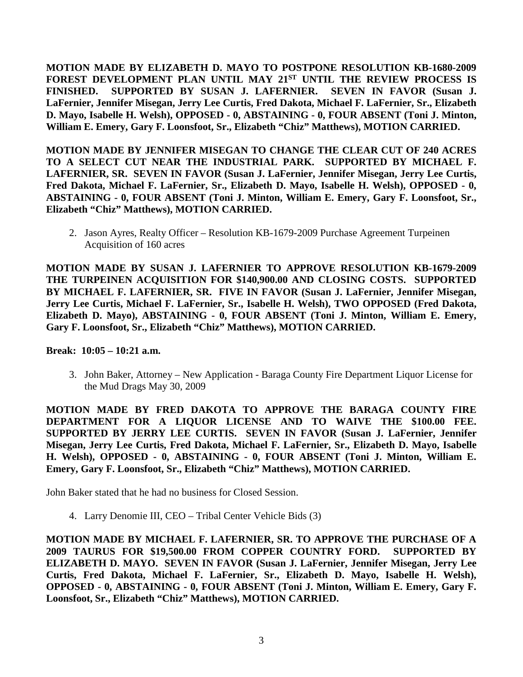**MOTION MADE BY ELIZABETH D. MAYO TO POSTPONE RESOLUTION KB-1680-2009 FOREST DEVELOPMENT PLAN UNTIL MAY 21ST UNTIL THE REVIEW PROCESS IS FINISHED. SUPPORTED BY SUSAN J. LAFERNIER. SEVEN IN FAVOR (Susan J. LaFernier, Jennifer Misegan, Jerry Lee Curtis, Fred Dakota, Michael F. LaFernier, Sr., Elizabeth D. Mayo, Isabelle H. Welsh), OPPOSED - 0, ABSTAINING - 0, FOUR ABSENT (Toni J. Minton, William E. Emery, Gary F. Loonsfoot, Sr., Elizabeth "Chiz" Matthews), MOTION CARRIED.**

**MOTION MADE BY JENNIFER MISEGAN TO CHANGE THE CLEAR CUT OF 240 ACRES TO A SELECT CUT NEAR THE INDUSTRIAL PARK. SUPPORTED BY MICHAEL F. LAFERNIER, SR. SEVEN IN FAVOR (Susan J. LaFernier, Jennifer Misegan, Jerry Lee Curtis, Fred Dakota, Michael F. LaFernier, Sr., Elizabeth D. Mayo, Isabelle H. Welsh), OPPOSED - 0, ABSTAINING - 0, FOUR ABSENT (Toni J. Minton, William E. Emery, Gary F. Loonsfoot, Sr., Elizabeth "Chiz" Matthews), MOTION CARRIED.**

2. Jason Ayres, Realty Officer – Resolution KB-1679-2009 Purchase Agreement Turpeinen Acquisition of 160 acres

**MOTION MADE BY SUSAN J. LAFERNIER TO APPROVE RESOLUTION KB-1679-2009 THE TURPEINEN ACQUISITION FOR \$140,900.00 AND CLOSING COSTS. SUPPORTED BY MICHAEL F. LAFERNIER, SR. FIVE IN FAVOR (Susan J. LaFernier, Jennifer Misegan, Jerry Lee Curtis, Michael F. LaFernier, Sr., Isabelle H. Welsh), TWO OPPOSED (Fred Dakota, Elizabeth D. Mayo), ABSTAINING - 0, FOUR ABSENT (Toni J. Minton, William E. Emery, Gary F. Loonsfoot, Sr., Elizabeth "Chiz" Matthews), MOTION CARRIED.**

**Break: 10:05 – 10:21 a.m.**

3. John Baker, Attorney – New Application - Baraga County Fire Department Liquor License for the Mud Drags May 30, 2009

**MOTION MADE BY FRED DAKOTA TO APPROVE THE BARAGA COUNTY FIRE DEPARTMENT FOR A LIQUOR LICENSE AND TO WAIVE THE \$100.00 FEE. SUPPORTED BY JERRY LEE CURTIS. SEVEN IN FAVOR (Susan J. LaFernier, Jennifer Misegan, Jerry Lee Curtis, Fred Dakota, Michael F. LaFernier, Sr., Elizabeth D. Mayo, Isabelle H. Welsh), OPPOSED - 0, ABSTAINING - 0, FOUR ABSENT (Toni J. Minton, William E. Emery, Gary F. Loonsfoot, Sr., Elizabeth "Chiz" Matthews), MOTION CARRIED.**

John Baker stated that he had no business for Closed Session.

4. Larry Denomie III, CEO – Tribal Center Vehicle Bids (3)

**MOTION MADE BY MICHAEL F. LAFERNIER, SR. TO APPROVE THE PURCHASE OF A 2009 TAURUS FOR \$19,500.00 FROM COPPER COUNTRY FORD. SUPPORTED BY ELIZABETH D. MAYO. SEVEN IN FAVOR (Susan J. LaFernier, Jennifer Misegan, Jerry Lee Curtis, Fred Dakota, Michael F. LaFernier, Sr., Elizabeth D. Mayo, Isabelle H. Welsh), OPPOSED - 0, ABSTAINING - 0, FOUR ABSENT (Toni J. Minton, William E. Emery, Gary F. Loonsfoot, Sr., Elizabeth "Chiz" Matthews), MOTION CARRIED.**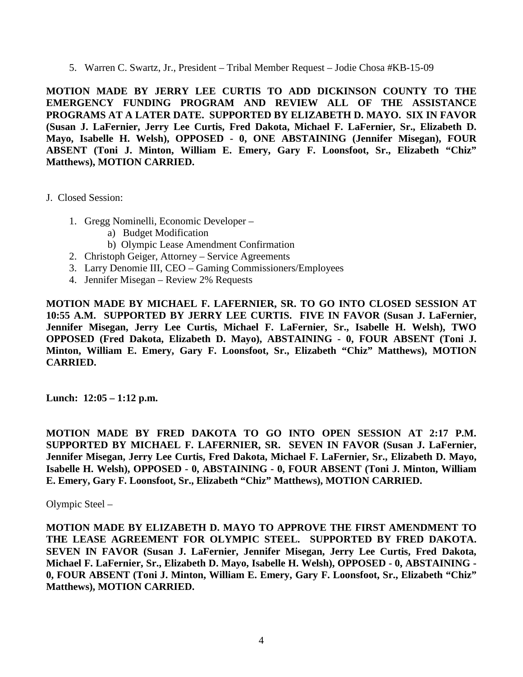5. Warren C. Swartz, Jr., President – Tribal Member Request – Jodie Chosa #KB-15-09

**MOTION MADE BY JERRY LEE CURTIS TO ADD DICKINSON COUNTY TO THE EMERGENCY FUNDING PROGRAM AND REVIEW ALL OF THE ASSISTANCE PROGRAMS AT A LATER DATE. SUPPORTED BY ELIZABETH D. MAYO. SIX IN FAVOR (Susan J. LaFernier, Jerry Lee Curtis, Fred Dakota, Michael F. LaFernier, Sr., Elizabeth D. Mayo, Isabelle H. Welsh), OPPOSED - 0, ONE ABSTAINING (Jennifer Misegan), FOUR ABSENT (Toni J. Minton, William E. Emery, Gary F. Loonsfoot, Sr., Elizabeth "Chiz" Matthews), MOTION CARRIED.**

- J. Closed Session:
	- 1. Gregg Nominelli, Economic Developer
		- a) Budget Modification
		- b) Olympic Lease Amendment Confirmation
	- 2. Christoph Geiger, Attorney Service Agreements
	- 3. Larry Denomie III, CEO Gaming Commissioners/Employees
	- 4. Jennifer Misegan Review 2% Requests

**MOTION MADE BY MICHAEL F. LAFERNIER, SR. TO GO INTO CLOSED SESSION AT 10:55 A.M. SUPPORTED BY JERRY LEE CURTIS. FIVE IN FAVOR (Susan J. LaFernier, Jennifer Misegan, Jerry Lee Curtis, Michael F. LaFernier, Sr., Isabelle H. Welsh), TWO OPPOSED (Fred Dakota, Elizabeth D. Mayo), ABSTAINING - 0, FOUR ABSENT (Toni J. Minton, William E. Emery, Gary F. Loonsfoot, Sr., Elizabeth "Chiz" Matthews), MOTION CARRIED.**

**Lunch: 12:05 – 1:12 p.m.**

**MOTION MADE BY FRED DAKOTA TO GO INTO OPEN SESSION AT 2:17 P.M. SUPPORTED BY MICHAEL F. LAFERNIER, SR. SEVEN IN FAVOR (Susan J. LaFernier, Jennifer Misegan, Jerry Lee Curtis, Fred Dakota, Michael F. LaFernier, Sr., Elizabeth D. Mayo, Isabelle H. Welsh), OPPOSED - 0, ABSTAINING - 0, FOUR ABSENT (Toni J. Minton, William E. Emery, Gary F. Loonsfoot, Sr., Elizabeth "Chiz" Matthews), MOTION CARRIED.**

Olympic Steel –

**MOTION MADE BY ELIZABETH D. MAYO TO APPROVE THE FIRST AMENDMENT TO THE LEASE AGREEMENT FOR OLYMPIC STEEL. SUPPORTED BY FRED DAKOTA. SEVEN IN FAVOR (Susan J. LaFernier, Jennifer Misegan, Jerry Lee Curtis, Fred Dakota, Michael F. LaFernier, Sr., Elizabeth D. Mayo, Isabelle H. Welsh), OPPOSED - 0, ABSTAINING - 0, FOUR ABSENT (Toni J. Minton, William E. Emery, Gary F. Loonsfoot, Sr., Elizabeth "Chiz" Matthews), MOTION CARRIED.**